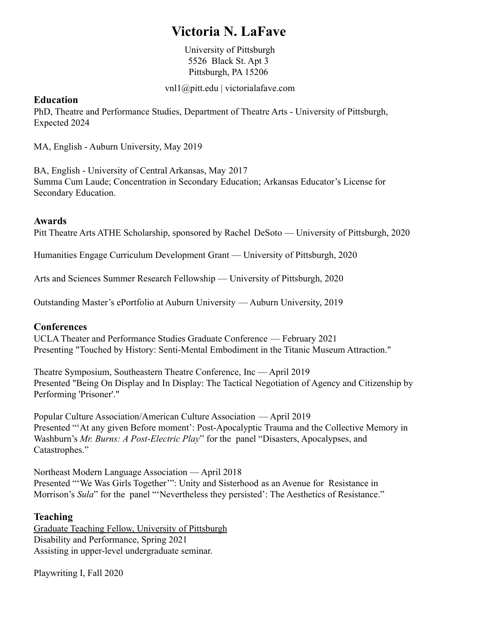# **Victoria N. LaFave**

University of Pittsburgh 5526 Black St. Apt 3 Pittsburgh, PA 15206

[vnl1@pitt.edu](mailto:vzl0004@auburn.edu) | victorialafave.com

## **Education**

PhD, Theatre and Performance Studies, Department of Theatre Arts - University of Pittsburgh, Expected 2024

MA, English - Auburn University, May 2019

BA, English - University of Central Arkansas, May 2017 Summa Cum Laude; Concentration in Secondary Education; Arkansas Educator's License for Secondary Education.

### **Awards**

Pitt Theatre Arts ATHE Scholarship, sponsored by Rachel DeSoto — University of Pittsburgh, 2020

Humanities Engage Curriculum Development Grant — University of Pittsburgh, 2020

Arts and Sciences Summer Research Fellowship — University of Pittsburgh, 2020

Outstanding Master's ePortfolio at Auburn University — Auburn University, 2019

## **Conferences**

UCLA Theater and Performance Studies Graduate Conference — February 2021 Presenting "Touched by History: Senti-Mental Embodiment in the Titanic Museum Attraction."

Theatre Symposium, Southeastern Theatre Conference, Inc — April 2019 Presented "Being On Display and In Display: The Tactical Negotiation of Agency and Citizenship by Performing 'Prisoner'."

Popular Culture Association/American Culture Association — April 2019 Presented "'At any given Before moment': Post-Apocalyptic Trauma and the Collective Memory in Washburn's *Mr. Burns: A Post-Electric Play*" for the panel "Disasters, Apocalypses, and Catastrophes."

Northeast Modern Language Association — April 2018 Presented "'We Was Girls Together'": Unity and Sisterhood as an Avenue for Resistance in Morrison's *Sula*" for the panel "'Nevertheless they persisted': The Aesthetics of Resistance."

#### **Teaching**

Graduate Teaching Fellow, University of Pittsburgh Disability and Performance, Spring 2021 Assisting in upper-level undergraduate seminar.

Playwriting I, Fall 2020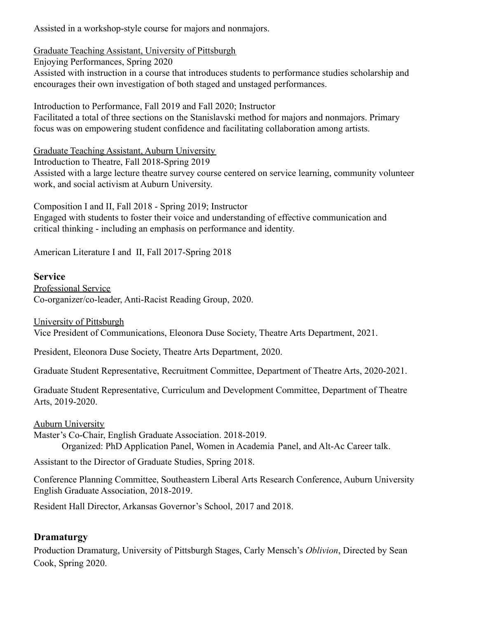Assisted in a workshop-style course for majors and nonmajors.

Graduate Teaching Assistant, University of Pittsburgh

Enjoying Performances, Spring 2020 Assisted with instruction in a course that introduces students to performance studies scholarship and encourages their own investigation of both staged and unstaged performances.

Introduction to Performance, Fall 2019 and Fall 2020; Instructor Facilitated a total of three sections on the Stanislavski method for majors and nonmajors. Primary focus was on empowering student confidence and facilitating collaboration among artists.

Graduate Teaching Assistant, Auburn University

Introduction to Theatre, Fall 2018-Spring 2019 Assisted with a large lecture theatre survey course centered on service learning, community volunteer work, and social activism at Auburn University.

Composition I and II, Fall 2018 - Spring 2019; Instructor Engaged with students to foster their voice and understanding of effective communication and critical thinking - including an emphasis on performance and identity.

American Literature I and II, Fall 2017-Spring 2018

# **Service**

Professional Service Co-organizer/co-leader, Anti-Racist Reading Group, 2020.

University of Pittsburgh

Vice President of Communications, Eleonora Duse Society, Theatre Arts Department, 2021.

President, Eleonora Duse Society, Theatre Arts Department, 2020.

Graduate Student Representative, Recruitment Committee, Department of Theatre Arts, 2020-2021.

Graduate Student Representative, Curriculum and Development Committee, Department of Theatre Arts, 2019-2020.

**Auburn University** 

Master's Co-Chair, English Graduate Association. 2018-2019. Organized: PhD Application Panel, Women in Academia Panel, and Alt-Ac Career talk.

Assistant to the Director of Graduate Studies, Spring 2018.

Conference Planning Committee, Southeastern Liberal Arts Research Conference, Auburn University English Graduate Association, 2018-2019.

Resident Hall Director, Arkansas Governor's School, 2017 and 2018.

# **Dramaturgy**

Production Dramaturg, University of Pittsburgh Stages, Carly Mensch's *Oblivion*, Directed by Sean Cook, Spring 2020.